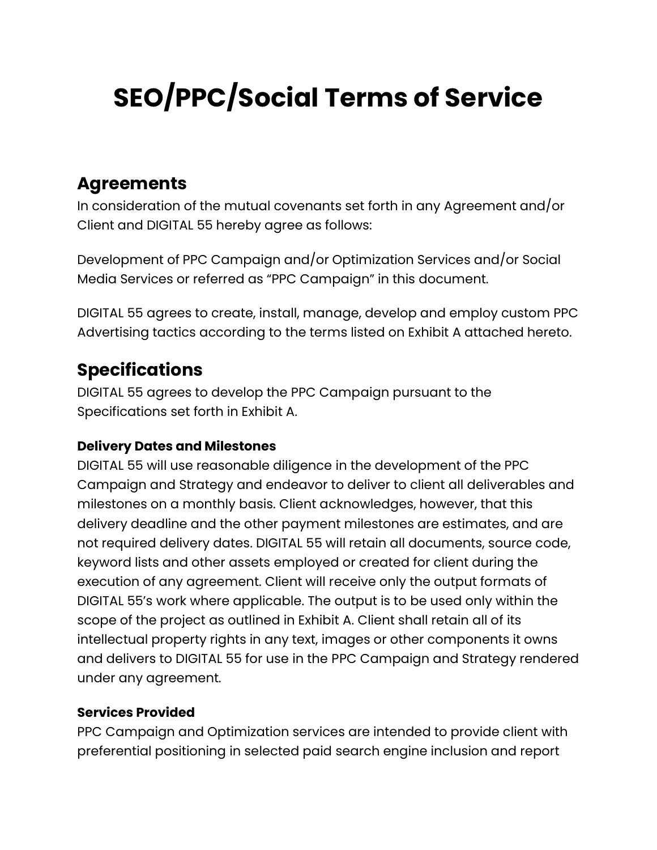# **SEO/PPC/Social Terms of Service**

# **Agreements**

In consideration of the mutual covenants set forth in any Agreement and/or Client and DIGITAL 55 hereby agree as follows:

Development of PPC Campaign and/or Optimization Services and/or Social Media Services or referred as "PPC Campaign" in this document.

DIGITAL 55 agrees to create, install, manage, develop and employ custom PPC Advertising tactics according to the terms listed on Exhibit A attached hereto.

# **Specifications**

DIGITAL 55 agrees to develop the PPC Campaign pursuant to the Specifications set forth in Exhibit A.

### **Delivery Dates and Milestones**

DIGITAL 55 will use reasonable diligence in the development of the PPC Campaign and Strategy and endeavor to deliver to client all deliverables and milestones on a monthly basis. Client acknowledges, however, that this delivery deadline and the other payment milestones are estimates, and are not required delivery dates. DIGITAL 55 will retain all documents, source code, keyword lists and other assets employed or created for client during the execution of any agreement. Client will receive only the output formats of DIGITAL 55's work where applicable. The output is to be used only within the scope of the project as outlined in Exhibit A. Client shall retain all of its intellectual property rights in any text, images or other components it owns and delivers to DIGITAL 55 for use in the PPC Campaign and Strategy rendered under any agreement.

### **Services Provided**

PPC Campaign and Optimization services are intended to provide client with preferential positioning in selected paid search engine inclusion and report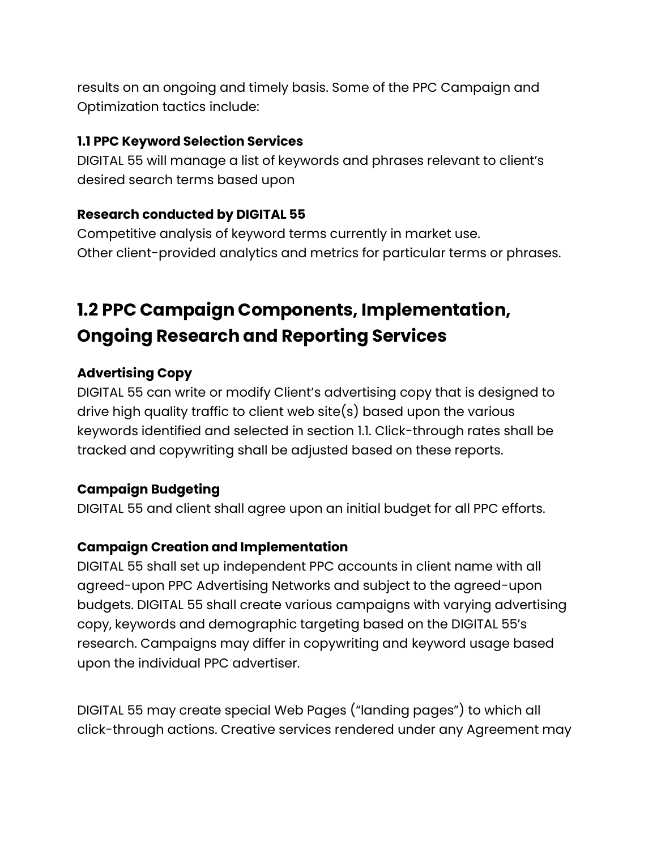results on an ongoing and timely basis. Some of the PPC Campaign and Optimization tactics include:

#### **1.1 PPC Keyword Selection Services**

DIGITAL 55 will manage a list of keywords and phrases relevant to client's desired search terms based upon

### **Research conducted by DIGITAL 55**

Competitive analysis of keyword terms currently in market use. Other client-provided analytics and metrics for particular terms or phrases.

# **1.2 PPC Campaign Components, Implementation, Ongoing Research and Reporting Services**

### **Advertising Copy**

DIGITAL 55 can write or modify Client's advertising copy that is designed to drive high quality traffic to client web site(s) based upon the various keywords identified and selected in section 1.1. Click-through rates shall be tracked and copywriting shall be adjusted based on these reports.

### **Campaign Budgeting**

DIGITAL 55 and client shall agree upon an initial budget for all PPC efforts.

### **Campaign Creation and Implementation**

DIGITAL 55 shall set up independent PPC accounts in client name with all agreed-upon PPC Advertising Networks and subject to the agreed-upon budgets. DIGITAL 55 shall create various campaigns with varying advertising copy, keywords and demographic targeting based on the DIGITAL 55's research. Campaigns may differ in copywriting and keyword usage based upon the individual PPC advertiser.

DIGITAL 55 may create special Web Pages ("landing pages") to which all click-through actions. Creative services rendered under any Agreement may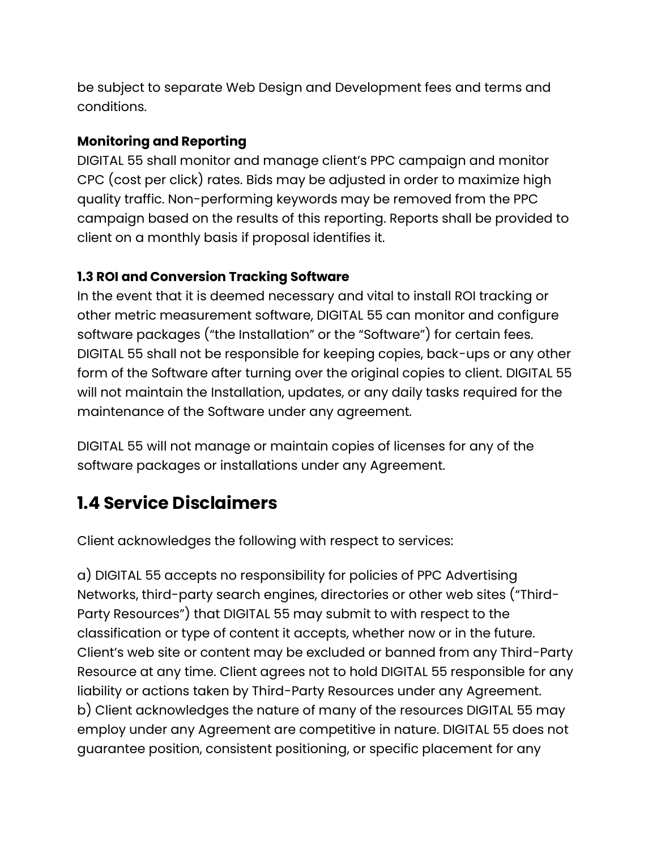be subject to separate Web Design and Development fees and terms and conditions.

### **Monitoring and Reporting**

DIGITAL 55 shall monitor and manage client's PPC campaign and monitor CPC (cost per click) rates. Bids may be adjusted in order to maximize high quality traffic. Non-performing keywords may be removed from the PPC campaign based on the results of this reporting. Reports shall be provided to client on a monthly basis if proposal identifies it.

### **1.3 ROI and Conversion Tracking Software**

In the event that it is deemed necessary and vital to install ROI tracking or other metric measurement software, DIGITAL 55 can monitor and configure software packages ("the Installation" or the "Software") for certain fees. DIGITAL 55 shall not be responsible for keeping copies, back-ups or any other form of the Software after turning over the original copies to client. DIGITAL 55 will not maintain the Installation, updates, or any daily tasks required for the maintenance of the Software under any agreement.

DIGITAL 55 will not manage or maintain copies of licenses for any of the software packages or installations under any Agreement.

# **1.4 Service Disclaimers**

Client acknowledges the following with respect to services:

a) DIGITAL 55 accepts no responsibility for policies of PPC Advertising Networks, third-party search engines, directories or other web sites ("Third-Party Resources") that DIGITAL 55 may submit to with respect to the classification or type of content it accepts, whether now or in the future. Client's web site or content may be excluded or banned from any Third-Party Resource at any time. Client agrees not to hold DIGITAL 55 responsible for any liability or actions taken by Third-Party Resources under any Agreement. b) Client acknowledges the nature of many of the resources DIGITAL 55 may employ under any Agreement are competitive in nature. DIGITAL 55 does not guarantee position, consistent positioning, or specific placement for any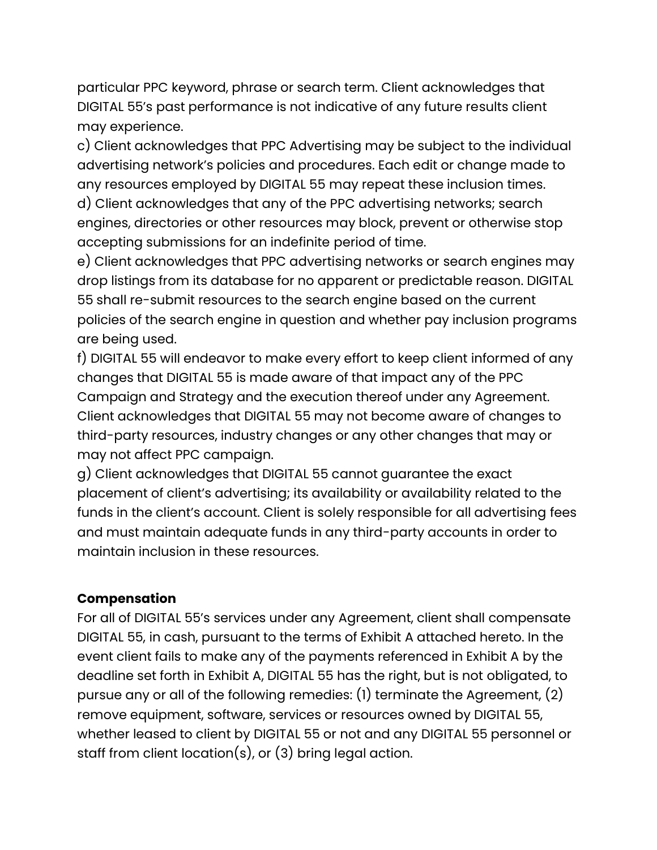particular PPC keyword, phrase or search term. Client acknowledges that DIGITAL 55's past performance is not indicative of any future results client may experience.

c) Client acknowledges that PPC Advertising may be subject to the individual advertising network's policies and procedures. Each edit or change made to any resources employed by DIGITAL 55 may repeat these inclusion times.

d) Client acknowledges that any of the PPC advertising networks; search engines, directories or other resources may block, prevent or otherwise stop accepting submissions for an indefinite period of time.

e) Client acknowledges that PPC advertising networks or search engines may drop listings from its database for no apparent or predictable reason. DIGITAL 55 shall re-submit resources to the search engine based on the current policies of the search engine in question and whether pay inclusion programs are being used.

f) DIGITAL 55 will endeavor to make every effort to keep client informed of any changes that DIGITAL 55 is made aware of that impact any of the PPC Campaign and Strategy and the execution thereof under any Agreement. Client acknowledges that DIGITAL 55 may not become aware of changes to third-party resources, industry changes or any other changes that may or may not affect PPC campaign.

g) Client acknowledges that DIGITAL 55 cannot guarantee the exact placement of client's advertising; its availability or availability related to the funds in the client's account. Client is solely responsible for all advertising fees and must maintain adequate funds in any third-party accounts in order to maintain inclusion in these resources.

#### **Compensation**

For all of DIGITAL 55's services under any Agreement, client shall compensate DIGITAL 55, in cash, pursuant to the terms of Exhibit A attached hereto. In the event client fails to make any of the payments referenced in Exhibit A by the deadline set forth in Exhibit A, DIGITAL 55 has the right, but is not obligated, to pursue any or all of the following remedies: (1) terminate the Agreement, (2) remove equipment, software, services or resources owned by DIGITAL 55, whether leased to client by DIGITAL 55 or not and any DIGITAL 55 personnel or staff from client location(s), or (3) bring legal action.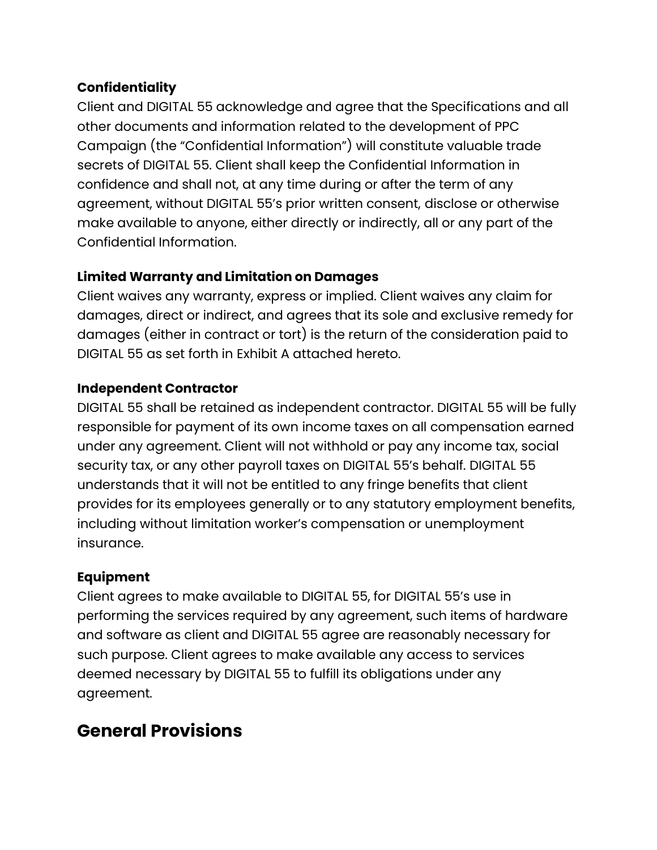### **Confidentiality**

Client and DIGITAL 55 acknowledge and agree that the Specifications and all other documents and information related to the development of PPC Campaign (the "Confidential Information") will constitute valuable trade secrets of DIGITAL 55. Client shall keep the Confidential Information in confidence and shall not, at any time during or after the term of any agreement, without DIGITAL 55's prior written consent, disclose or otherwise make available to anyone, either directly or indirectly, all or any part of the Confidential Information.

### **Limited Warranty and Limitation on Damages**

Client waives any warranty, express or implied. Client waives any claim for damages, direct or indirect, and agrees that its sole and exclusive remedy for damages (either in contract or tort) is the return of the consideration paid to DIGITAL 55 as set forth in Exhibit A attached hereto.

### **Independent Contractor**

DIGITAL 55 shall be retained as independent contractor. DIGITAL 55 will be fully responsible for payment of its own income taxes on all compensation earned under any agreement. Client will not withhold or pay any income tax, social security tax, or any other payroll taxes on DIGITAL 55's behalf. DIGITAL 55 understands that it will not be entitled to any fringe benefits that client provides for its employees generally or to any statutory employment benefits, including without limitation worker's compensation or unemployment insurance.

#### **Equipment**

Client agrees to make available to DIGITAL 55, for DIGITAL 55's use in performing the services required by any agreement, such items of hardware and software as client and DIGITAL 55 agree are reasonably necessary for such purpose. Client agrees to make available any access to services deemed necessary by DIGITAL 55 to fulfill its obligations under any agreement.

### **General Provisions**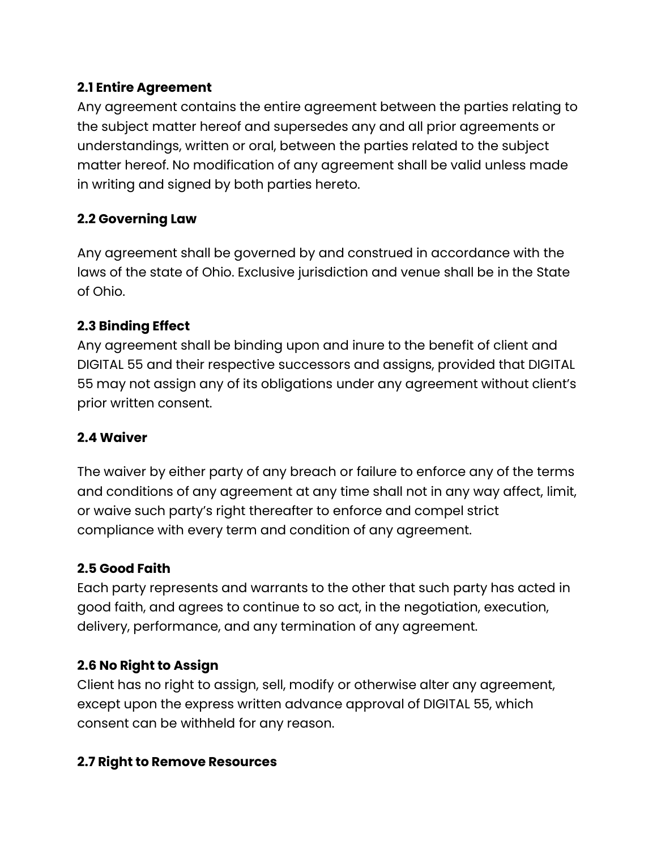### **2.1 Entire Agreement**

Any agreement contains the entire agreement between the parties relating to the subject matter hereof and supersedes any and all prior agreements or understandings, written or oral, between the parties related to the subject matter hereof. No modification of any agreement shall be valid unless made in writing and signed by both parties hereto.

### **2.2 Governing Law**

Any agreement shall be governed by and construed in accordance with the laws of the state of Ohio. Exclusive jurisdiction and venue shall be in the State of Ohio.

### **2.3 Binding Effect**

Any agreement shall be binding upon and inure to the benefit of client and DIGITAL 55 and their respective successors and assigns, provided that DIGITAL 55 may not assign any of its obligations under any agreement without client's prior written consent.

### **2.4 Waiver**

The waiver by either party of any breach or failure to enforce any of the terms and conditions of any agreement at any time shall not in any way affect, limit, or waive such party's right thereafter to enforce and compel strict compliance with every term and condition of any agreement.

### **2.5 Good Faith**

Each party represents and warrants to the other that such party has acted in good faith, and agrees to continue to so act, in the negotiation, execution, delivery, performance, and any termination of any agreement.

### **2.6 No Right to Assign**

Client has no right to assign, sell, modify or otherwise alter any agreement, except upon the express written advance approval of DIGITAL 55, which consent can be withheld for any reason.

### **2.7 Right to Remove Resources**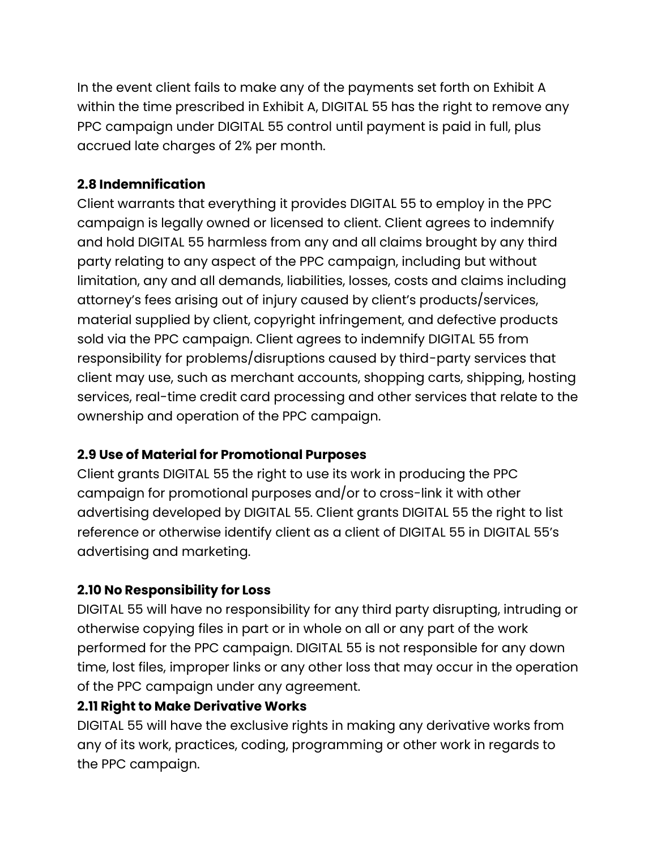In the event client fails to make any of the payments set forth on Exhibit A within the time prescribed in Exhibit A, DIGITAL 55 has the right to remove any PPC campaign under DIGITAL 55 control until payment is paid in full, plus accrued late charges of 2% per month.

### **2.8 Indemnification**

Client warrants that everything it provides DIGITAL 55 to employ in the PPC campaign is legally owned or licensed to client. Client agrees to indemnify and hold DIGITAL 55 harmless from any and all claims brought by any third party relating to any aspect of the PPC campaign, including but without limitation, any and all demands, liabilities, losses, costs and claims including attorney's fees arising out of injury caused by client's products/services, material supplied by client, copyright infringement, and defective products sold via the PPC campaign. Client agrees to indemnify DIGITAL 55 from responsibility for problems/disruptions caused by third-party services that client may use, such as merchant accounts, shopping carts, shipping, hosting services, real-time credit card processing and other services that relate to the ownership and operation of the PPC campaign.

### **2.9 Use of Material for Promotional Purposes**

Client grants DIGITAL 55 the right to use its work in producing the PPC campaign for promotional purposes and/or to cross-link it with other advertising developed by DIGITAL 55. Client grants DIGITAL 55 the right to list reference or otherwise identify client as a client of DIGITAL 55 in DIGITAL 55's advertising and marketing.

### **2.10 No Responsibility for Loss**

DIGITAL 55 will have no responsibility for any third party disrupting, intruding or otherwise copying files in part or in whole on all or any part of the work performed for the PPC campaign. DIGITAL 55 is not responsible for any down time, lost files, improper links or any other loss that may occur in the operation of the PPC campaign under any agreement.

### **2.11 Right to Make Derivative Works**

DIGITAL 55 will have the exclusive rights in making any derivative works from any of its work, practices, coding, programming or other work in regards to the PPC campaign.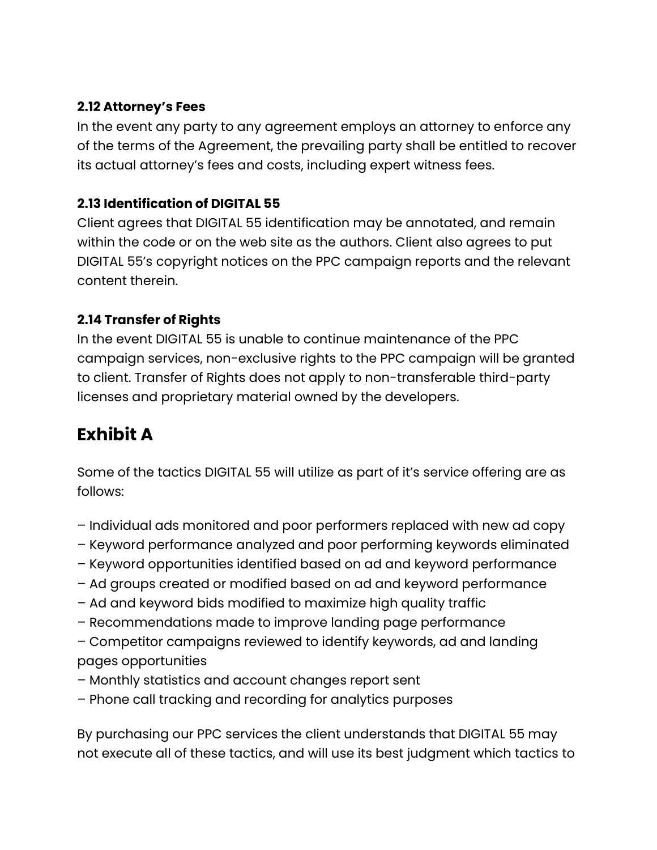### **2.12 Attorney's Fees**

In the event any party to any agreement employs an attorney to enforce any of the terms of the Agreement, the prevailing party shall be entitled to recover its actual attorney's fees and costs, including expert witness fees.

### **2.13 Identification of DIGITAL 55**

Client agrees that DIGITAL 55 identification may be annotated, and remain within the code or on the web site as the authors. Client also agrees to put DIGITAL 55's copyright notices on the PPC campaign reports and the relevant content therein.

### **2.14 Transfer of Rights**

In the event DIGITAL 55 is unable to continue maintenance of the PPC campaign services, non-exclusive rights to the PPC campaign will be granted to client. Transfer of Rights does not apply to non-transferable third-party licenses and proprietary material owned by the developers.

# **Exhibit A**

Some of the tactics DIGITAL 55 will utilize as part of it's service offering are as follows:

- Individual ads monitored and poor performers replaced with new ad copy
- Keyword performance analyzed and poor performing keywords eliminated
- Keyword opportunities identified based on ad and keyword performance
- Ad groups created or modified based on ad and keyword performance
- Ad and keyword bids modified to maximize high quality traffic
- Recommendations made to improve landing page performance
- Competitor campaigns reviewed to identify keywords, ad and landing pages opportunities
- Monthly statistics and account changes report sent
- Phone call tracking and recording for analytics purposes

By purchasing our PPC services the client understands that DIGITAL 55 may not execute all of these tactics, and will use its best judgment which tactics to